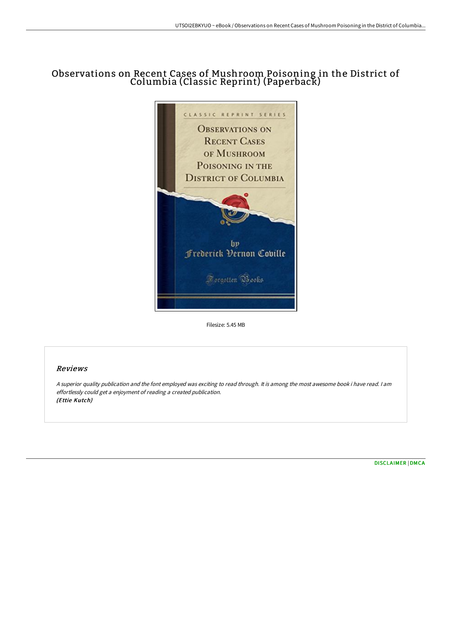## Observations on Recent Cases of Mushroom Poisoning in the District of Columbia (Classic Reprint) (Paperback)



Filesize: 5.45 MB

## Reviews

<sup>A</sup> superior quality publication and the font employed was exciting to read through. It is among the most awesome book i have read. <sup>I</sup> am effortlessly could get <sup>a</sup> enjoyment of reading <sup>a</sup> created publication. (Ettie Kutch)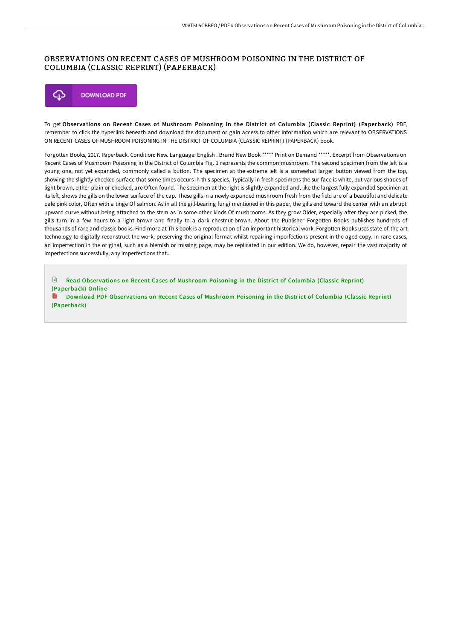## OBSERVATIONS ON RECENT CASES OF MUSHROOM POISONING IN THE DISTRICT OF COLUMBIA (CLASSIC REPRINT) (PAPERBACK)

![](_page_1_Picture_2.jpeg)

To get Observations on Recent Cases of Mushroom Poisoning in the District of Columbia (Classic Reprint) (Paperback) PDF, remember to click the hyperlink beneath and download the document or gain access to other information which are relevant to OBSERVATIONS ON RECENT CASES OF MUSHROOM POISONING IN THE DISTRICT OF COLUMBIA (CLASSIC REPRINT) (PAPERBACK) book.

Forgotten Books, 2017. Paperback. Condition: New. Language: English . Brand New Book \*\*\*\*\* Print on Demand \*\*\*\*\*. Excerpt from Observations on Recent Cases of Mushroom Poisoning in the District of Columbia Fig. 1 represents the common mushroom. The second specimen from the left is a young one, not yet expanded, commonly called a button. The specimen at the extreme left is a somewhat larger button viewed from the top, showing the slightly checked surface that some times occurs ih this species. Typically in fresh specimens the sur face is white, but various shades of light brown, either plain or checked, are Often found. The specimen at the right is slightly expanded and, like the largest fully expanded Specimen at its left, shows the gills on the lower surface of the cap. These gills in a newly expanded mushroom fresh from the field are of a beautiful and delicate pale pink color, Often with a tinge Of salmon. As in all the gill-bearing fungi mentioned in this paper, the gills end toward the center with an abrupt upward curve without being attached to the stem as in some other kinds Of mushrooms. As they grow Older, especially after they are picked, the gills turn in a few hours to a light brown and finally to a dark chestnut-brown. About the Publisher Forgotten Books publishes hundreds of thousands of rare and classic books. Find more at This book is a reproduction of an important historical work. Forgotten Books uses state-of-the-art technology to digitally reconstruct the work, preserving the original format whilst repairing imperfections present in the aged copy. In rare cases, an imperfection in the original, such as a blemish or missing page, may be replicated in our edition. We do, however, repair the vast majority of imperfections successfully; any imperfections that...

 $\mathbb{R}$ Read Observations on Recent Cases of Mushroom Poisoning in the District of Columbia (Classic Reprint) [\(Paperback\)](http://www.bookdirs.com/observations-on-recent-cases-of-mushroom-poisoni.html) Online

Download PDF Obser vations on Recent Cases of Mushroom Poisoning in the District of Columbia (Classic Reprint) [\(Paperback\)](http://www.bookdirs.com/observations-on-recent-cases-of-mushroom-poisoni.html)